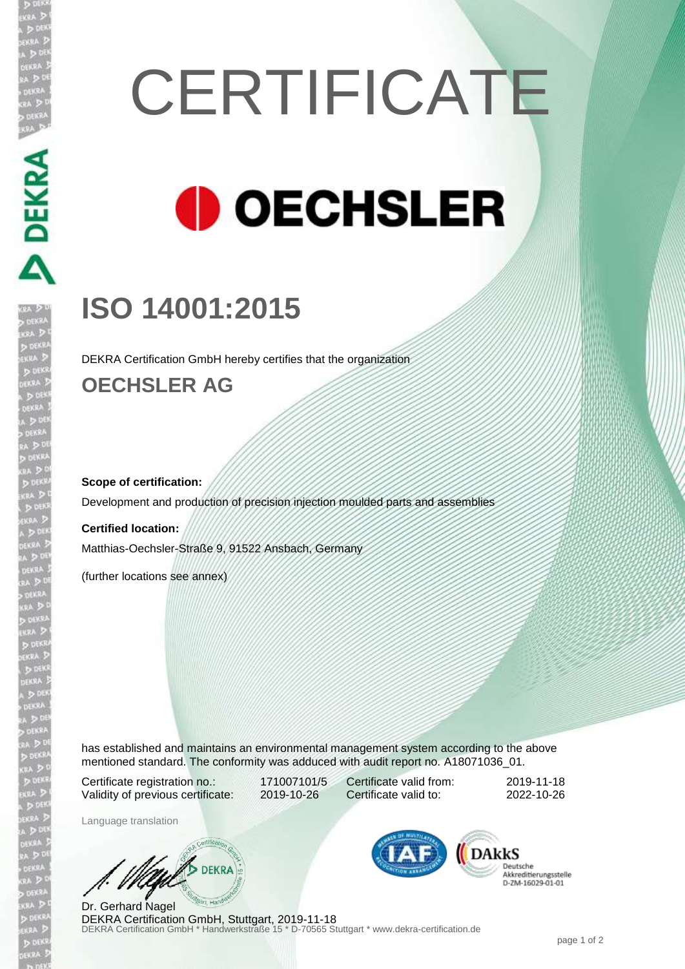# **CERTIFICATE OECHSLER**

## **ISO 14001:2015**

DEKRA Certification GmbH hereby certifies that the organization

**OECHSLER AG**

#### **Scope of certification:**

Development and production of precision injection moulded parts and assemblies

#### **Certified location:**

Matthias-Oechsler-Straße 9, 91522 Ansbach, Germany

(further locations see annex)

has established and maintains an environmental management system according to the above mentioned standard. The conformity was adduced with audit report no. A18071036\_01.

Certificate registration no.: 171007101/5 Validity of previous certificate: 2019-10-26

Certificate valid from: 2019-11-18 Certificate valid to: 2022-10-26

Language translation

DEKRA

DEKRA Certification GmbH \* Handwerkstraße 15 \* D-70565 Stuttgart \* www.dekra-certification.de Dr. Gerhard Nagel DEKRA Certification GmbH, Stuttgart, 2019-11-18



Deutsche Scutsene<br>Akkreditierungsstelle<br>D-ZM-16029-01-01